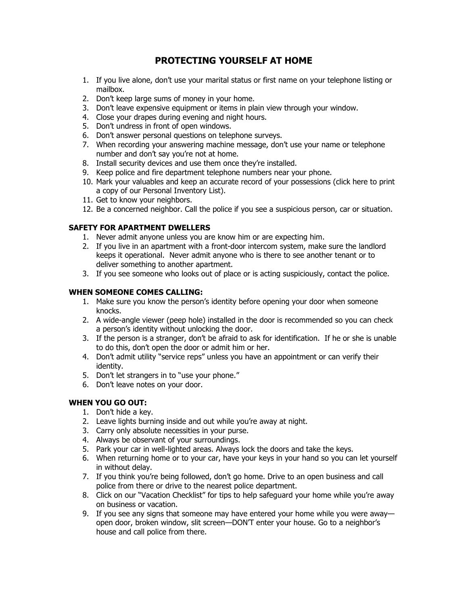# **PROTECTING YOURSELF AT HOME**

- 1. If you live alone, don't use your marital status or first name on your telephone listing or mailbox.
- 2. Don't keep large sums of money in your home.
- 3. Don't leave expensive equipment or items in plain view through your window.
- 4. Close your drapes during evening and night hours.
- 5. Don't undress in front of open windows.
- 6. Don't answer personal questions on telephone surveys.
- 7. When recording your answering machine message, don't use your name or telephone number and don't say you're not at home.
- 8. Install security devices and use them once they're installed.
- 9. Keep police and fire department telephone numbers near your phone.
- 10. Mark your valuables and keep an accurate record of your possessions (click here to print a copy of our Personal Inventory List).
- 11. Get to know your neighbors.
- 12. Be a concerned neighbor. Call the police if you see a suspicious person, car or situation.

## **SAFETY FOR APARTMENT DWELLERS**

- 1. Never admit anyone unless you are know him or are expecting him.
- 2. If you live in an apartment with a front-door intercom system, make sure the landlord keeps it operational. Never admit anyone who is there to see another tenant or to deliver something to another apartment.
- 3. If you see someone who looks out of place or is acting suspiciously, contact the police.

## **WHEN SOMEONE COMES CALLING:**

- 1. Make sure you know the person's identity before opening your door when someone knocks.
- 2. A wide-angle viewer (peep hole) installed in the door is recommended so you can check a person's identity without unlocking the door.
- 3. If the person is a stranger, don't be afraid to ask for identification. If he or she is unable to do this, don't open the door or admit him or her.
- 4. Don't admit utility "service reps" unless you have an appointment or can verify their identity.
- 5. Don't let strangers in to "use your phone."
- 6. Don't leave notes on your door.

## **WHEN YOU GO OUT:**

- 1. Don't hide a key.
- 2. Leave lights burning inside and out while you're away at night.
- 3. Carry only absolute necessities in your purse.
- 4. Always be observant of your surroundings.
- 5. Park your car in well-lighted areas. Always lock the doors and take the keys.
- 6. When returning home or to your car, have your keys in your hand so you can let yourself in without delay.
- 7. If you think you're being followed, don't go home. Drive to an open business and call police from there or drive to the nearest police department.
- 8. Click on our "Vacation Checklist" for tips to help safeguard your home while you're away on business or vacation.
- 9. If you see any signs that someone may have entered your home while you were away open door, broken window, slit screen—DON'T enter your house. Go to a neighbor's house and call police from there.